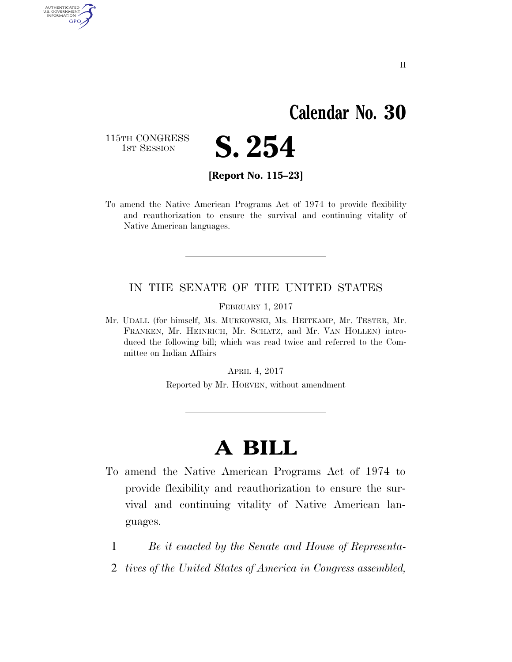## **Calendar No. 30**

115TH CONGRESS<br>1st Session

AUTHENTICATED<br>U.S. GOVERNMENT<br>INFORMATION

GPO



**[Report No. 115–23]** 

To amend the Native American Programs Act of 1974 to provide flexibility and reauthorization to ensure the survival and continuing vitality of Native American languages.

## IN THE SENATE OF THE UNITED STATES

FEBRUARY 1, 2017

Mr. UDALL (for himself, Ms. MURKOWSKI, Ms. HEITKAMP, Mr. TESTER, Mr. FRANKEN, Mr. HEINRICH, Mr. SCHATZ, and Mr. VAN HOLLEN) introduced the following bill; which was read twice and referred to the Committee on Indian Affairs

APRIL 4, 2017

Reported by Mr. HOEVEN, without amendment

## **A BILL**

- To amend the Native American Programs Act of 1974 to provide flexibility and reauthorization to ensure the survival and continuing vitality of Native American languages.
	- 1 *Be it enacted by the Senate and House of Representa-*
	- 2 *tives of the United States of America in Congress assembled,*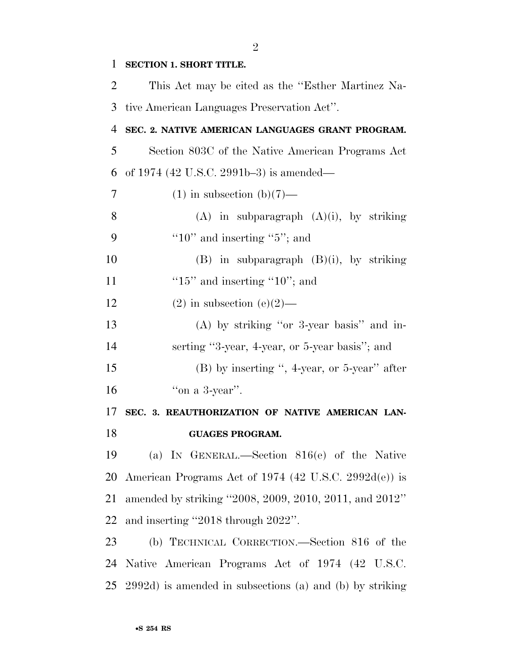| $\mathbf{1}$   | <b>SECTION 1. SHORT TITLE.</b>                           |
|----------------|----------------------------------------------------------|
| 2              | This Act may be cited as the "Esther Martinez Na-        |
| 3              | tive American Languages Preservation Act".               |
| 4              | SEC. 2. NATIVE AMERICAN LANGUAGES GRANT PROGRAM.         |
| 5              | Section 803C of the Native American Programs Act         |
| 6              | of 1974 (42 U.S.C. 2991b-3) is amended—                  |
| $\overline{7}$ | $(1)$ in subsection $(b)(7)$ —                           |
| 8              | $(A)$ in subparagraph $(A)(i)$ , by striking             |
| 9              | "10" and inserting " $5$ "; and                          |
| 10             | $(B)$ in subparagraph $(B)(i)$ , by striking             |
| 11             | " $15$ " and inserting " $10$ "; and                     |
| 12             | $(2)$ in subsection $(e)(2)$ —                           |
| 13             | $(A)$ by striking "or 3-year basis" and in-              |
| 14             | serting "3-year, 4-year, or 5-year basis"; and           |
| 15             | $(B)$ by inserting ", 4-year, or 5-year" after           |
| 16             | "on a $3$ -year".                                        |
| 17             | SEC. 3. REAUTHORIZATION OF NATIVE AMERICAN LAN-          |
| 18             | <b>GUAGES PROGRAM.</b>                                   |
| 19             | (a) IN GENERAL.—Section 816(e) of the Native             |
| 20             | American Programs Act of 1974 (42 U.S.C. 2992d(e)) is    |
| 21             | amended by striking "2008, 2009, 2010, 2011, and 2012"   |
| 22             | and inserting "2018 through 2022".                       |
| 23             | (b) TECHNICAL CORRECTION.—Section 816 of the             |
| 24             | Native American Programs Act of 1974 (42 U.S.C.          |
| 25             | 2992d) is amended in subsections (a) and (b) by striking |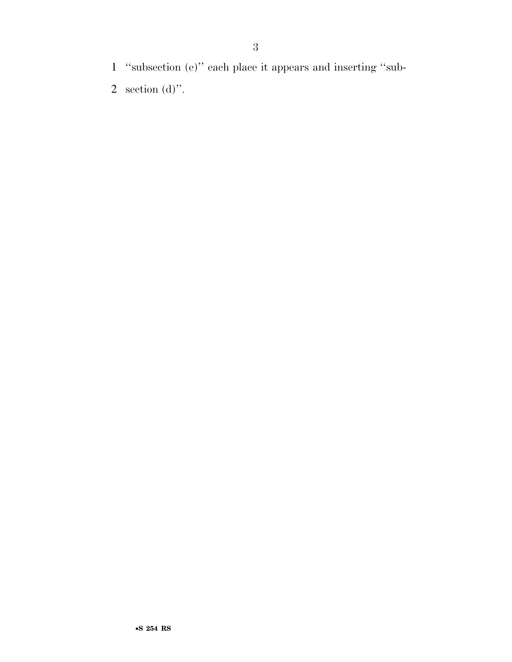- 1 ''subsection (e)'' each place it appears and inserting ''sub-
- 2 section (d)".